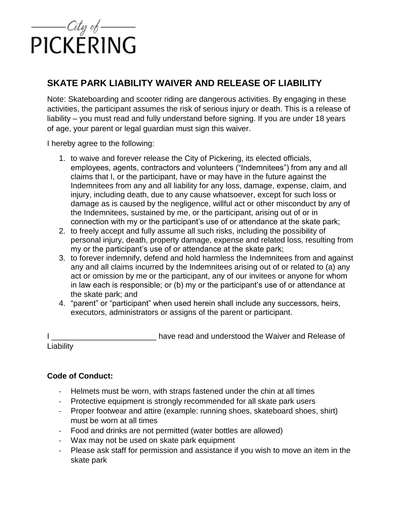

## **SKATE PARK LIABILITY WAIVER AND RELEASE OF LIABILITY**

 activities, the participant assumes the risk of serious injury or death. This is a release of Note: Skateboarding and scooter riding are dangerous activities. By engaging in these liability – you must read and fully understand before signing. If you are under 18 years of age, your parent or legal guardian must sign this waiver.

I hereby agree to the following:

- employees, agents, contractors and volunteers ("Indemnitees") from any and all Indemnitees from any and all liability for any loss, damage, expense, claim, and injury, including death, due to any cause whatsoever, except for such loss or the Indemnitees, sustained by me, or the participant, arising out of or in 1. to waive and forever release the City of Pickering, its elected officials, claims that I, or the participant, have or may have in the future against the damage as is caused by the negligence, willful act or other misconduct by any of connection with my or the participant's use of or attendance at the skate park;
- 2. to freely accept and fully assume all such risks, including the possibility of personal injury, death, property damage, expense and related loss, resulting from my or the participant's use of or attendance at the skate park;
- 3. to forever indemnify, defend and hold harmless the Indemnitees from and against act or omission by me or the participant, any of our invitees or anyone for whom any and all claims incurred by the Indemnitees arising out of or related to (a) any in law each is responsible; or (b) my or the participant's use of or attendance at the skate park; and
- 4. "parent" or "participant" when used herein shall include any successors, heirs, executors, administrators or assigns of the parent or participant.

I \_\_\_\_\_\_\_\_\_\_\_\_\_\_\_\_\_\_\_\_\_\_\_\_\_\_\_\_\_ have read and understood the Waiver and Release of **Liability** 

## **Code of Conduct:**

- Helmets must be worn, with straps fastened under the chin at all times
- Protective equipment is strongly recommended for all skate park users
- Proper footwear and attire (example: running shoes, skateboard shoes, shirt) must be worn at all times
- Food and drinks are not permitted (water bottles are allowed)
- Wax may not be used on skate park equipment
- - Please ask staff for permission and assistance if you wish to move an item in the skate park